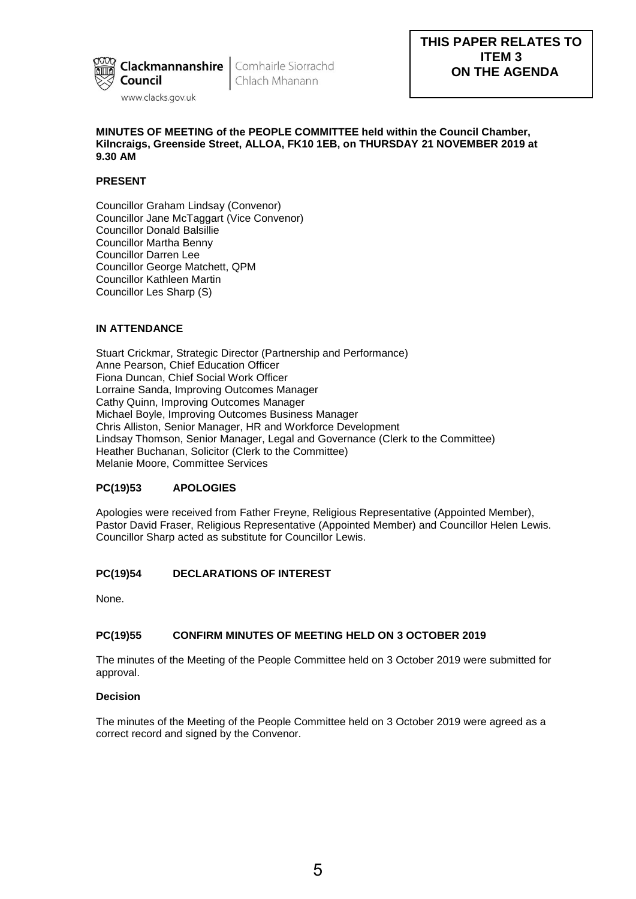

Chlach Mhanann

## **MINUTES OF MEETING of the PEOPLE COMMITTEE held within the Council Chamber, Kilncraigs, Greenside Street, ALLOA, FK10 1EB, on THURSDAY 21 NOVEMBER 2019 at 9.30 AM**

# **PRESENT**

Councillor Graham Lindsay (Convenor) Councillor Jane McTaggart (Vice Convenor) Councillor Donald Balsillie Councillor Martha Benny Councillor Darren Lee Councillor George Matchett, QPM Councillor Kathleen Martin Councillor Les Sharp (S)

# **IN ATTENDANCE**

Stuart Crickmar, Strategic Director (Partnership and Performance) Anne Pearson, Chief Education Officer Fiona Duncan, Chief Social Work Officer Lorraine Sanda, Improving Outcomes Manager Cathy Quinn, Improving Outcomes Manager Michael Boyle, Improving Outcomes Business Manager Chris Alliston, Senior Manager, HR and Workforce Development Lindsay Thomson, Senior Manager, Legal and Governance (Clerk to the Committee) Heather Buchanan, Solicitor (Clerk to the Committee) Melanie Moore, Committee Services

## **PC(19)53 APOLOGIES**

Apologies were received from Father Freyne, Religious Representative (Appointed Member), Pastor David Fraser, Religious Representative (Appointed Member) and Councillor Helen Lewis. Councillor Sharp acted as substitute for Councillor Lewis.

## **PC(19)54 DECLARATIONS OF INTEREST**

None.

## **PC(19)55 CONFIRM MINUTES OF MEETING HELD ON 3 OCTOBER 2019**

The minutes of the Meeting of the People Committee held on 3 October 2019 were submitted for approval.

### **Decision**

The minutes of the Meeting of the People Committee held on 3 October 2019 were agreed as a correct record and signed by the Convenor.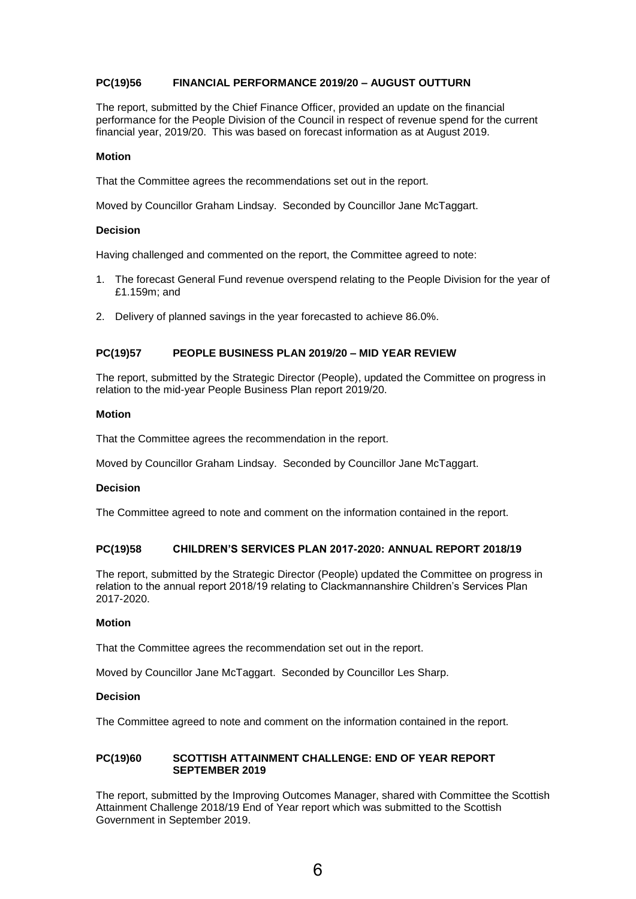# **PC(19)56 FINANCIAL PERFORMANCE 2019/20 – AUGUST OUTTURN**

The report, submitted by the Chief Finance Officer, provided an update on the financial performance for the People Division of the Council in respect of revenue spend for the current financial year, 2019/20. This was based on forecast information as at August 2019.

#### **Motion**

That the Committee agrees the recommendations set out in the report.

Moved by Councillor Graham Lindsay. Seconded by Councillor Jane McTaggart.

#### **Decision**

Having challenged and commented on the report, the Committee agreed to note:

- 1. The forecast General Fund revenue overspend relating to the People Division for the year of £1.159m; and
- 2. Delivery of planned savings in the year forecasted to achieve 86.0%.

### **PC(19)57 PEOPLE BUSINESS PLAN 2019/20 – MID YEAR REVIEW**

The report, submitted by the Strategic Director (People), updated the Committee on progress in relation to the mid-year People Business Plan report 2019/20.

### **Motion**

That the Committee agrees the recommendation in the report.

Moved by Councillor Graham Lindsay. Seconded by Councillor Jane McTaggart.

### **Decision**

The Committee agreed to note and comment on the information contained in the report.

# **PC(19)58 CHILDREN'S SERVICES PLAN 2017-2020: ANNUAL REPORT 2018/19**

The report, submitted by the Strategic Director (People) updated the Committee on progress in relation to the annual report 2018/19 relating to Clackmannanshire Children's Services Plan 2017-2020.

#### **Motion**

That the Committee agrees the recommendation set out in the report.

Moved by Councillor Jane McTaggart. Seconded by Councillor Les Sharp.

## **Decision**

The Committee agreed to note and comment on the information contained in the report.

### **PC(19)60 SCOTTISH ATTAINMENT CHALLENGE: END OF YEAR REPORT SEPTEMBER 2019**

The report, submitted by the Improving Outcomes Manager, shared with Committee the Scottish Attainment Challenge 2018/19 End of Year report which was submitted to the Scottish Government in September 2019.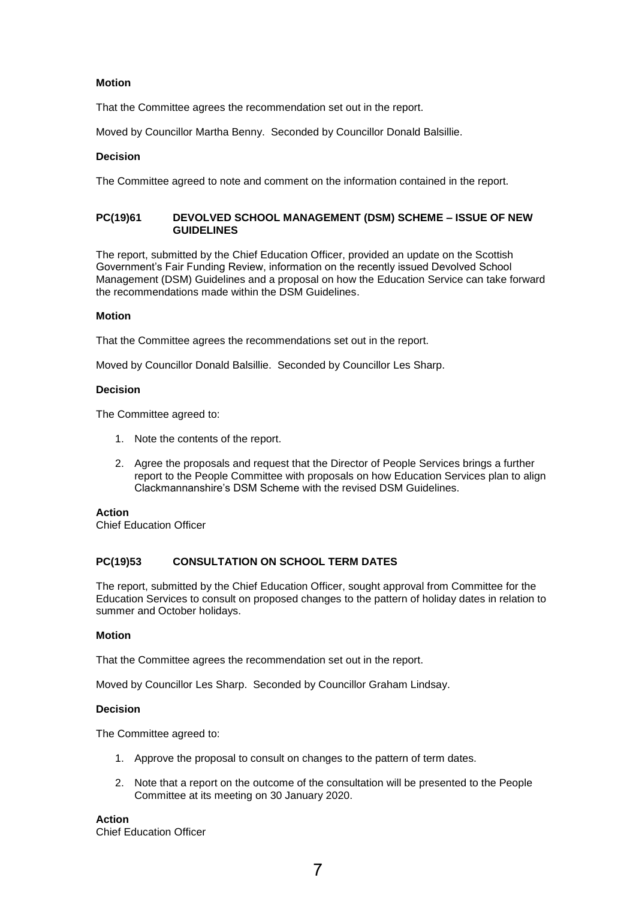## **Motion**

That the Committee agrees the recommendation set out in the report.

Moved by Councillor Martha Benny. Seconded by Councillor Donald Balsillie.

## **Decision**

The Committee agreed to note and comment on the information contained in the report.

## **PC(19)61 DEVOLVED SCHOOL MANAGEMENT (DSM) SCHEME – ISSUE OF NEW GUIDELINES**

The report, submitted by the Chief Education Officer, provided an update on the Scottish Government's Fair Funding Review, information on the recently issued Devolved School Management (DSM) Guidelines and a proposal on how the Education Service can take forward the recommendations made within the DSM Guidelines.

## **Motion**

That the Committee agrees the recommendations set out in the report.

Moved by Councillor Donald Balsillie. Seconded by Councillor Les Sharp.

## **Decision**

The Committee agreed to:

- 1. Note the contents of the report.
- 2. Agree the proposals and request that the Director of People Services brings a further report to the People Committee with proposals on how Education Services plan to align Clackmannanshire's DSM Scheme with the revised DSM Guidelines.

### **Action**

Chief Education Officer

## **PC(19)53 CONSULTATION ON SCHOOL TERM DATES**

The report, submitted by the Chief Education Officer, sought approval from Committee for the Education Services to consult on proposed changes to the pattern of holiday dates in relation to summer and October holidays.

### **Motion**

That the Committee agrees the recommendation set out in the report.

Moved by Councillor Les Sharp. Seconded by Councillor Graham Lindsay.

## **Decision**

The Committee agreed to:

- 1. Approve the proposal to consult on changes to the pattern of term dates.
- 2. Note that a report on the outcome of the consultation will be presented to the People Committee at its meeting on 30 January 2020.

**Action**  Chief Education Officer